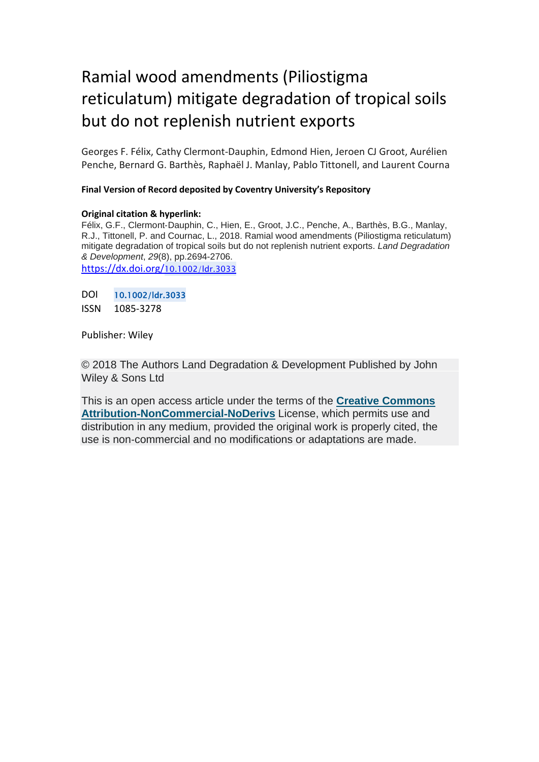# Ramial wood amendments (Piliostigma reticulatum) mitigate degradation of tropical soils but do not replenish nutrient exports

Georges F. Félix, Cathy Clermont‐Dauphin, Edmond Hien, Jeroen CJ Groot, Aurélien Penche, Bernard G. Barthès, Raphaël J. Manlay, Pablo Tittonell, and Laurent Courna

**Final Version of Record deposited by Coventry University's Repository**

# **Original citation & hyperlink:**

Félix, G.F., Clermont‐Dauphin, C., Hien, E., Groot, J.C., Penche, A., Barthès, B.G., Manlay, R.J., Tittonell, P. and Cournac, L., 2018. Ramial wood amendments (Piliostigma reticulatum) mitigate degradation of tropical soils but do not replenish nutrient exports. *Land Degradation & Development*, *29*(8), pp.2694-2706. [https://dx.doi.org/](https://dx.doi.org/10.1002/ldr.3033)[10.1002/ldr.3033](https://dx.doi.org/10.1002/ldr.3033) 

DOI 10.1002/ldr.3033 ISSN 1085-3278

Publisher: Wiley

© 2018 The Authors Land Degradation & Development Published by John Wiley & Sons Ltd

This is an open access article under the terms of the **[Creative Commons](http://creativecommons.org/licenses/by-nc-nd/4.0/)  Attribution**‐**[NonCommercial](http://creativecommons.org/licenses/by-nc-nd/4.0/)**‐**NoDerivs** License, which permits use and distribution in any medium, provided the original work is properly cited, the use is non‐commercial and no modifications or adaptations are made.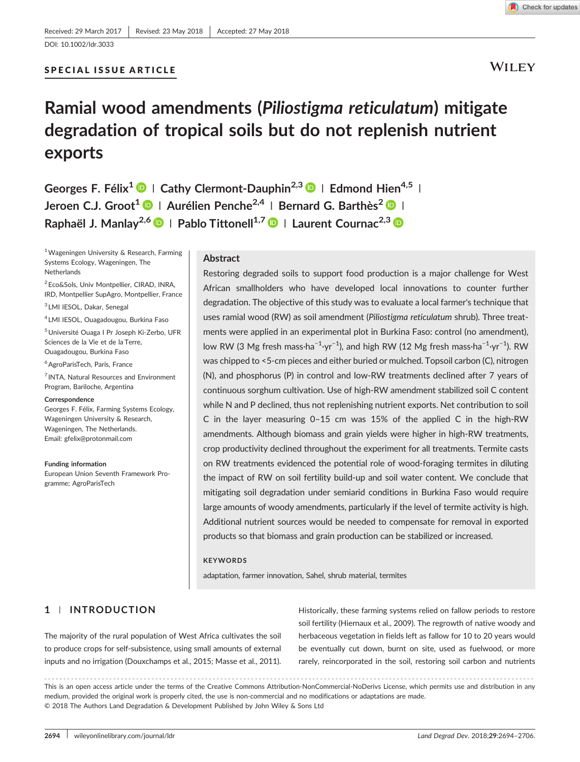# SPECIAL ISSUE ARTICLE

**WILEY** 

# Ramial wood amendments (Piliostigma reticulatum) mitigate degradation of tropical soils but do not replenish nutrient exports

Georges F. Félix<sup>1</sup>  $\bullet$  | Cathy Clermont-Dauphin<sup>2,3</sup>  $\bullet$  | Edmond Hien<sup>4,5</sup> | Jeroen C.J. Groot<sup>1</sup>  $\bigcirc$  | Aurélien Penche<sup>2,4</sup> | Bernard G. Barthès<sup>2</sup>  $\bigcirc$  | Raphaël J. Manlay<sup>2,6</sup>  $\bullet$  | Pablo Tittonell<sup>1,7</sup>  $\bullet$  | Laurent Cournac<sup>2,3</sup>  $\bullet$ 

<sup>1</sup> Wageningen University & Research, Farming Systems Ecology, Wageningen, The **Netherlands** 

<sup>2</sup> Eco&Sols, Univ Montpellier, CIRAD, INRA, IRD, Montpellier SupAgro, Montpellier, France

<sup>3</sup> LMI IESOL, Dakar, Senegal

<sup>4</sup> LMI IESOL, Ouagadougou, Burkina Faso

5Université Ouaga I Pr Joseph Ki‐Zerbo, UFR Sciences de la Vie et de la Terre, Ouagadougou, Burkina Faso

6AgroParisTech, Paris, France

<sup>7</sup> INTA, Natural Resources and Environment Program, Bariloche, Argentina

#### **Correspondence**

Georges F. Félix, Farming Systems Ecology, Wageningen University & Research, Wageningen, The Netherlands. Email: [gfelix@protonmail.com](mailto:gfelix@protonmail.com)

Funding information European Union Seventh Framework Programme; AgroParisTech

#### Abstract

Restoring degraded soils to support food production is a major challenge for West African smallholders who have developed local innovations to counter further degradation. The objective of this study was to evaluate a local farmer's technique that uses ramial wood (RW) as soil amendment (Piliostigma reticulatum shrub). Three treatments were applied in an experimental plot in Burkina Faso: control (no amendment), low RW (3 Mg fresh mass·ha<sup>-1</sup>·yr<sup>-1</sup>), and high RW (12 Mg fresh mass·ha<sup>-1</sup>·yr<sup>-1</sup>). RW was chipped to <5-cm pieces and either buried or mulched. Topsoil carbon (C), nitrogen (N), and phosphorus (P) in control and low‐RW treatments declined after 7 years of continuous sorghum cultivation. Use of high‐RW amendment stabilized soil C content while N and P declined, thus not replenishing nutrient exports. Net contribution to soil C in the layer measuring 0–15 cm was 15% of the applied C in the high‐RW amendments. Although biomass and grain yields were higher in high‐RW treatments, crop productivity declined throughout the experiment for all treatments. Termite casts on RW treatments evidenced the potential role of wood-foraging termites in diluting the impact of RW on soil fertility build‐up and soil water content. We conclude that mitigating soil degradation under semiarid conditions in Burkina Faso would require large amounts of woody amendments, particularly if the level of termite activity is high. Additional nutrient sources would be needed to compensate for removal in exported products so that biomass and grain production can be stabilized or increased.

#### **KEYWORDS**

adaptation, farmer innovation, Sahel, shrub material, termites

# 1 | INTRODUCTION

The majority of the rural population of West Africa cultivates the soil to produce crops for self‐subsistence, using small amounts of external inputs and no irrigation (Douxchamps et al., 2015; Masse et al., 2011).

Historically, these farming systems relied on fallow periods to restore soil fertility (Hiernaux et al., 2009). The regrowth of native woody and herbaceous vegetation in fields left as fallow for 10 to 20 years would be eventually cut down, burnt on site, used as fuelwood, or more rarely, reincorporated in the soil, restoring soil carbon and nutrients

------------------------------------------------------------------------------------------------------------------------------- - This is an open access article under the terms of the [Creative Commons Attribution](http://creativecommons.org/licenses/by-nc-nd/4.0/)‐NonCommercial‐NoDerivs License, which permits use and distribution in any medium, provided the original work is properly cited, the use is non‐commercial and no modifications or adaptations are made. © 2018 The Authors Land Degradation & Development Published by John Wiley & Sons Ltd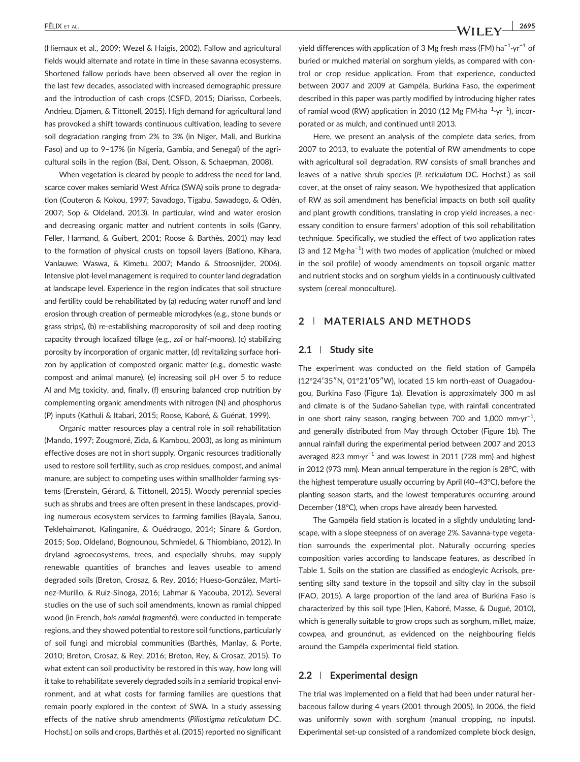(Hiernaux et al., 2009; Wezel & Haigis, 2002). Fallow and agricultural fields would alternate and rotate in time in these savanna ecosystems. Shortened fallow periods have been observed all over the region in the last few decades, associated with increased demographic pressure and the introduction of cash crops (CSFD, 2015; Diarisso, Corbeels, Andrieu, Djamen, & Tittonell, 2015). High demand for agricultural land has provoked a shift towards continuous cultivation, leading to severe soil degradation ranging from 2% to 3% (in Niger, Mali, and Burkina Faso) and up to 9–17% (in Nigeria, Gambia, and Senegal) of the agricultural soils in the region (Bai, Dent, Olsson, & Schaepman, 2008).

When vegetation is cleared by people to address the need for land, scarce cover makes semiarid West Africa (SWA) soils prone to degradation (Couteron & Kokou, 1997; Savadogo, Tigabu, Sawadogo, & Odén, 2007; Sop & Oldeland, 2013). In particular, wind and water erosion and decreasing organic matter and nutrient contents in soils (Ganry, Feller, Harmand, & Guibert, 2001; Roose & Barthès, 2001) may lead to the formation of physical crusts on topsoil layers (Bationo, Kihara, Vanlauwe, Waswa, & Kimetu, 2007; Mando & Stroosnijder, 2006). Intensive plot-level management is required to counter land degradation at landscape level. Experience in the region indicates that soil structure and fertility could be rehabilitated by (a) reducing water runoff and land erosion through creation of permeable microdykes (e.g., stone bunds or grass strips), (b) re‐establishing macroporosity of soil and deep rooting capacity through localized tillage (e.g., zaï or half-moons), (c) stabilizing porosity by incorporation of organic matter, (d) revitalizing surface horizon by application of composted organic matter (e.g., domestic waste compost and animal manure), (e) increasing soil pH over 5 to reduce Al and Mg toxicity, and, finally, (f) ensuring balanced crop nutrition by complementing organic amendments with nitrogen (N) and phosphorus (P) inputs (Kathuli & Itabari, 2015; Roose, Kaboré, & Guénat, 1999).

Organic matter resources play a central role in soil rehabilitation (Mando, 1997; Zougmoré, Zida, & Kambou, 2003), as long as minimum effective doses are not in short supply. Organic resources traditionally used to restore soil fertility, such as crop residues, compost, and animal manure, are subject to competing uses within smallholder farming systems (Erenstein, Gérard, & Tittonell, 2015). Woody perennial species such as shrubs and trees are often present in these landscapes, providing numerous ecosystem services to farming families (Bayala, Sanou, Teklehaimanot, Kalinganire, & Ouédraogo, 2014; Sinare & Gordon, 2015; Sop, Oldeland, Bognounou, Schmiedel, & Thiombiano, 2012). In dryland agroecosystems, trees, and especially shrubs, may supply renewable quantities of branches and leaves useable to amend degraded soils (Breton, Crosaz, & Rey, 2016; Hueso‐González, Martínez‐Murillo, & Ruiz‐Sinoga, 2016; Lahmar & Yacouba, 2012). Several studies on the use of such soil amendments, known as ramial chipped wood (in French, bois raméal fragmenté), were conducted in temperate regions, and they showed potential to restore soil functions, particularly of soil fungi and microbial communities (Barthès, Manlay, & Porte, 2010; Breton, Crosaz, & Rey, 2016; Breton, Rey, & Crosaz, 2015). To what extent can soil productivity be restored in this way, how long will it take to rehabilitate severely degraded soils in a semiarid tropical environment, and at what costs for farming families are questions that remain poorly explored in the context of SWA. In a study assessing effects of the native shrub amendments (Piliostigma reticulatum DC. Hochst.) on soils and crops, Barthès et al. (2015) reported no significant

yield differences with application of 3 Mg fresh mass (FM) ha $^{-1}\cdot$ yr $^{-1}$  of buried or mulched material on sorghum yields, as compared with control or crop residue application. From that experience, conducted between 2007 and 2009 at Gampéla, Burkina Faso, the experiment described in this paper was partly modified by introducing higher rates of ramial wood (RW) application in 2010 (12 Mg FM·ha<sup>-1</sup>·yr<sup>-1</sup>), incorporated or as mulch, and continued until 2013.

Here, we present an analysis of the complete data series, from 2007 to 2013, to evaluate the potential of RW amendments to cope with agricultural soil degradation. RW consists of small branches and leaves of a native shrub species (P. reticulatum DC. Hochst.) as soil cover, at the onset of rainy season. We hypothesized that application of RW as soil amendment has beneficial impacts on both soil quality and plant growth conditions, translating in crop yield increases, a necessary condition to ensure farmers' adoption of this soil rehabilitation technique. Specifically, we studied the effect of two application rates (3 and 12 Mg·ha−<sup>1</sup> ) with two modes of application (mulched or mixed in the soil profile) of woody amendments on topsoil organic matter and nutrient stocks and on sorghum yields in a continuously cultivated system (cereal monoculture).

### 2 | MATERIALS AND METHODS

#### 2.1 | Study site

The experiment was conducted on the field station of Gampéla (12°24′35″N, 01°21′05″W), located 15 km north‐east of Ouagadougou, Burkina Faso (Figure 1a). Elevation is approximately 300 m asl and climate is of the Sudano‐Sahelian type, with rainfall concentrated in one short rainy season, ranging between 700 and 1,000 mm·yr<sup>-1</sup>, and generally distributed from May through October (Figure 1b). The annual rainfall during the experimental period between 2007 and 2013 averaged 823 mm·yr−<sup>1</sup> and was lowest in 2011 (728 mm) and highest in 2012 (973 mm). Mean annual temperature in the region is 28°C, with the highest temperature usually occurring by April (40–43°C), before the planting season starts, and the lowest temperatures occurring around December (18°C), when crops have already been harvested.

The Gampéla field station is located in a slightly undulating landscape, with a slope steepness of on average 2%. Savanna‐type vegetation surrounds the experimental plot. Naturally occurring species composition varies according to landscape features, as described in Table 1. Soils on the station are classified as endogleyic Acrisols, presenting silty sand texture in the topsoil and silty clay in the subsoil (FAO, 2015). A large proportion of the land area of Burkina Faso is characterized by this soil type (Hien, Kaboré, Masse, & Dugué, 2010), which is generally suitable to grow crops such as sorghum, millet, maize, cowpea, and groundnut, as evidenced on the neighbouring fields around the Gampéla experimental field station.

#### 2.2 | Experimental design

The trial was implemented on a field that had been under natural herbaceous fallow during 4 years (2001 through 2005). In 2006, the field was uniformly sown with sorghum (manual cropping, no inputs). Experimental set-up consisted of a randomized complete block design,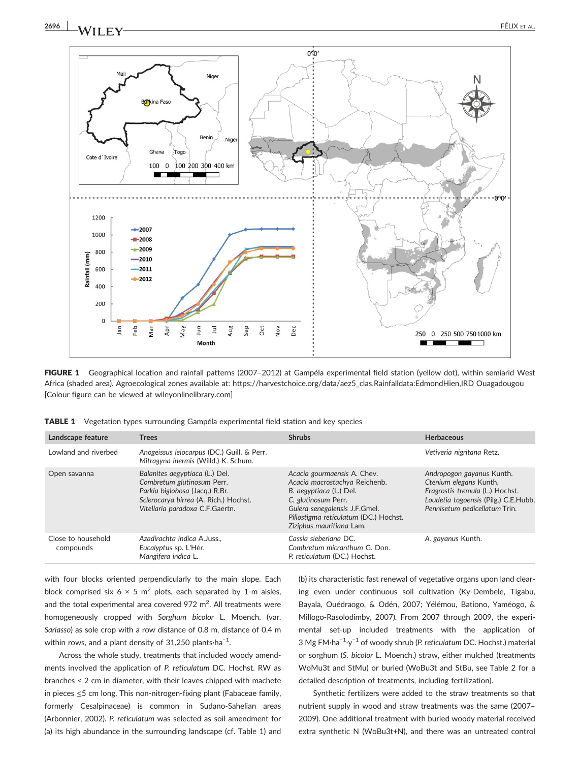

FIGURE 1 Geographical location and rainfall patterns (2007-2012) at Gampéla experimental field station (yellow dot), within semiarid West Africa (shaded area). Agroecological zones available at: [https://harvestchoice.org/data/aez5\\_clas.Rainfalldata:EdmondHien,](https://harvestchoice.org/data/aez5_clas.Rainfalldata:EdmondHien)IRD Ouagadougou [Colour figure can be viewed at [wileyonlinelibrary.com\]](http://wileyonlinelibrary.com)

|  | <b>TABLE 1</b> Vegetation types surrounding Gampéla experimental field station and key species |  |  |  |  |  |  |  |  |
|--|------------------------------------------------------------------------------------------------|--|--|--|--|--|--|--|--|
|--|------------------------------------------------------------------------------------------------|--|--|--|--|--|--|--|--|

| Landscape feature               | <b>Trees</b>                                                                                                                                                               | <b>Shrubs</b>                                                                                                                                                                                                        | <b>Herbaceous</b>                                                                                                                                               |
|---------------------------------|----------------------------------------------------------------------------------------------------------------------------------------------------------------------------|----------------------------------------------------------------------------------------------------------------------------------------------------------------------------------------------------------------------|-----------------------------------------------------------------------------------------------------------------------------------------------------------------|
| Lowland and riverbed            | Anogeissus leiocarpus (DC.) Guill. & Perr.<br>Mitragyna inermis (Willd.) K. Schum.                                                                                         |                                                                                                                                                                                                                      | Vetiveria nigritana Retz.                                                                                                                                       |
| Open savanna                    | Balanites aegyptiaca (L.) Del.<br>Combretum glutinosum Perr.<br>Parkia biglobosa (Jaca.) R.Br.<br>Sclerocarya birrea (A. Rich.) Hochst.<br>Vitellaria paradoxa C.F.Gaertn. | Acacia gourmaensis A. Chev.<br>Acacia macrostachya Reichenb.<br>B. aegyptiaca (L.) Del.<br>C. glutinosum Perr.<br>Guiera senegalensis J.F.Gmel.<br>Piliostigma reticulatum (DC.) Hochst.<br>Ziziphus mauritiana Lam. | Andropogon gayanus Kunth.<br>Ctenium elegans Kunth.<br>Eragrostis tremula (L.) Hochst.<br>Loudetia togoensis (Pilg.) C.E.Hubb.<br>Pennisetum pedicellatum Trin. |
| Close to household<br>compounds | Azadirachta indica A.Juss<br>Eucalyptus sp. L'Hér.<br>Mangifera indica L.                                                                                                  | Cassia sieberiana DC.<br>Combretum micranthum G. Don.<br>P. reticulatum (DC.) Hochst.                                                                                                                                | A. gayanus Kunth.                                                                                                                                               |

with four blocks oriented perpendicularly to the main slope. Each block comprised six 6  $\times$  5 m<sup>2</sup> plots, each separated by 1-m aisles, and the total experimental area covered 972  $m^2$ . All treatments were homogeneously cropped with Sorghum bicolor L. Moench. (var. Sariasso) as sole crop with a row distance of 0.8 m, distance of 0.4 m within rows, and a plant density of 31,250 plants $\cdot$ ha $^{-1}$ .

Across the whole study, treatments that included woody amendments involved the application of P. reticulatum DC. Hochst. RW as branches < 2 cm in diameter, with their leaves chipped with machete in pieces ≤5 cm long. This non‐nitrogen‐fixing plant (Fabaceae family, formerly Cesalpinaceae) is common in Sudano‐Sahelian areas (Arbonnier, 2002). P. reticulatum was selected as soil amendment for (a) its high abundance in the surrounding landscape (cf. Table 1) and (b) its characteristic fast renewal of vegetative organs upon land clearing even under continuous soil cultivation (Ky‐Dembele, Tigabu, Bayala, Ouédraogo, & Odén, 2007; Yélémou, Bationo, Yaméogo, & Millogo‐Rasolodimby, 2007). From 2007 through 2009, the experimental set-up included treatments with the application of 3 Mg FM·ha<sup>-1</sup>·y<sup>-1</sup> of woody shrub (P. reticulatum DC. Hochst.) material or sorghum (S. bicolor L. Moench.) straw, either mulched (treatments WoMu3t and StMu) or buried (WoBu3t and StBu, see Table 2 for a detailed description of treatments, including fertilization).

Synthetic fertilizers were added to the straw treatments so that nutrient supply in wood and straw treatments was the same (2007– 2009). One additional treatment with buried woody material received extra synthetic N (WoBu3t+N), and there was an untreated control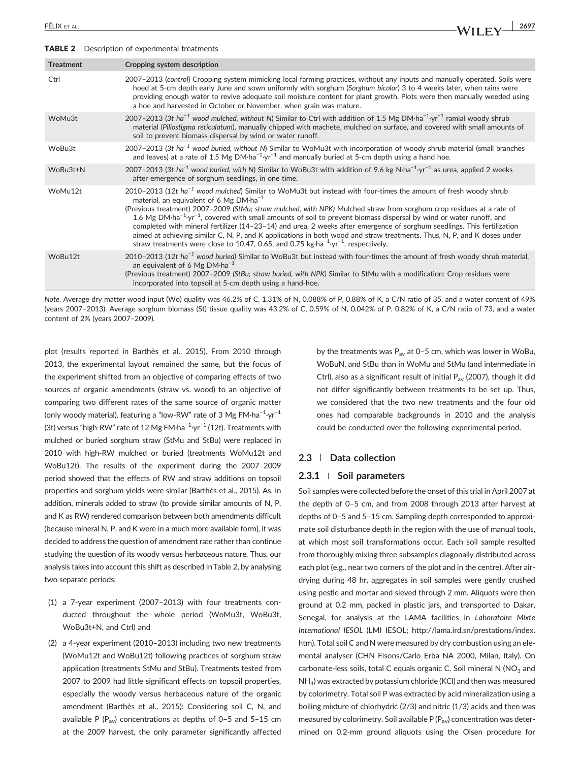TABLE 2 Description of experimental treatments

| <b>Treatment</b> | Cropping system description                                                                                                                                                                                                                                                                                                                                                                                                                                                                                                                                                                                                                                                                                                                                                                                            |
|------------------|------------------------------------------------------------------------------------------------------------------------------------------------------------------------------------------------------------------------------------------------------------------------------------------------------------------------------------------------------------------------------------------------------------------------------------------------------------------------------------------------------------------------------------------------------------------------------------------------------------------------------------------------------------------------------------------------------------------------------------------------------------------------------------------------------------------------|
| Ctrl             | 2007–2013 (control) Cropping system mimicking local farming practices, without any inputs and manually operated. Soils were<br>hoed at 5-cm depth early June and sown uniformly with sorghum (Sorghum bicolor) 3 to 4 weeks later, when rains were<br>providing enough water to revive adequate soil moisture content for plant growth. Plots were then manually weeded using<br>a hoe and harvested in October or November, when grain was mature.                                                                                                                                                                                                                                                                                                                                                                    |
| WoMu3t           | 2007-2013 (3t ha <sup>-1</sup> wood mulched, without N) Similar to Ctrl with addition of 1.5 Mg DM ha <sup>-1</sup> yr <sup>-1</sup> ramial woody shrub<br>material (Piliostigma reticulatum), manually chipped with machete, mulched on surface, and covered with small amounts of<br>soil to prevent biomass dispersal by wind or water runoff.                                                                                                                                                                                                                                                                                                                                                                                                                                                                      |
| WoBu3t           | 2007-2013 (3t $ha^{-1}$ wood buried, without N) Similar to WoMu3t with incorporation of woody shrub material (small branches<br>and leaves) at a rate of 1.5 Mg DM $\cdot$ ha <sup>-1</sup> $\cdot$ yr <sup>-1</sup> and manually buried at 5-cm depth using a hand hoe.                                                                                                                                                                                                                                                                                                                                                                                                                                                                                                                                               |
| WoBu3t+N         | 2007–2013 (3t ha <sup>-1</sup> wood buried, with N) Similar to WoBu3t with addition of 9.6 kg N·ha <sup>-1</sup> ·yr <sup>-1</sup> as urea, applied 2 weeks<br>after emergence of sorghum seedlings, in one time.                                                                                                                                                                                                                                                                                                                                                                                                                                                                                                                                                                                                      |
| WoMu12t          | 2010-2013 (12t $ha^{-1}$ wood mulched) Similar to WoMu3t but instead with four-times the amount of fresh woody shrub<br>material, an equivalent of 6 Mg $DM·ha^{-1}$<br>(Previous treatment) 2007-2009 (StMu; straw mulched, with NPK) Mulched straw from sorghum crop residues at a rate of<br>1.6 Mg DM $\cdot$ ha <sup>-1</sup> $\cdot$ yr <sup>-1</sup> , covered with small amounts of soil to prevent biomass dispersal by wind or water runoff, and<br>completed with mineral fertilizer (14-23-14) and urea, 2 weeks after emergence of sorghum seedlings. This fertilization<br>aimed at achieving similar C, N, P, and K applications in both wood and straw treatments. Thus, N, P, and K doses under<br>straw treatments were close to 10.47, 0.65, and 0.75 kg ha <sup>-1</sup> $yr^{-1}$ , respectively. |
| WoBu12t          | 2010-2013 (12t $ha^{-1}$ wood buried) Similar to WoBu3t but instead with four-times the amount of fresh woody shrub material,<br>an equivalent of 6 Mg DM·ha <sup>-1</sup><br>(Previous treatment) 2007-2009 (StBu; straw buried, with NPK) Similar to StMu with a modification: Crop residues were<br>incorporated into topsoil at 5-cm depth using a hand-hoe.                                                                                                                                                                                                                                                                                                                                                                                                                                                       |

Note. Average dry matter wood input (Wo) quality was 46.2% of C, 1.31% of N, 0.088% of P, 0.88% of K, a C/N ratio of 35, and a water content of 49% (years 2007–2013). Average sorghum biomass (St) tissue quality was 43.2% of C, 0.59% of N, 0.042% of P, 0.82% of K, a C/N ratio of 73, and a water content of 2% (years 2007–2009).

plot (results reported in Barthès et al., 2015). From 2010 through 2013, the experimental layout remained the same, but the focus of the experiment shifted from an objective of comparing effects of two sources of organic amendments (straw vs. wood) to an objective of comparing two different rates of the same source of organic matter (only woody material), featuring a "low‐RW" rate of 3 Mg FM·ha−<sup>1</sup> ·yr−<sup>1</sup> (3t) versus "high-RW" rate of 12 Mg FM·ha<sup>−1</sup>·yr<sup>−1</sup> (12t). Treatments with mulched or buried sorghum straw (StMu and StBu) were replaced in 2010 with high‐RW mulched or buried (treatments WoMu12t and WoBu12t). The results of the experiment during the 2007–2009 period showed that the effects of RW and straw additions on topsoil properties and sorghum yields were similar (Barthès et al., 2015). As, in addition, minerals added to straw (to provide similar amounts of N, P, and K as RW) rendered comparison between both amendments difficult (because mineral N, P, and K were in a much more available form), it was decided to address the question of amendment rate rather than continue studying the question of its woody versus herbaceous nature. Thus, our analysis takes into account this shift as described inTable 2, by analysing two separate periods:

- (1) a 7‐year experiment (2007–2013) with four treatments conducted throughout the whole period (WoMu3t, WoBu3t, WoBu3t+N, and Ctrl) and
- (2) a 4‐year experiment (2010–2013) including two new treatments (WoMu12t and WoBu12t) following practices of sorghum straw application (treatments StMu and StBu). Treatments tested from 2007 to 2009 had little significant effects on topsoil properties, especially the woody versus herbaceous nature of the organic amendment (Barthès et al., 2015): Considering soil C, N, and available P  $(P_{av})$  concentrations at depths of 0-5 and 5-15 cm at the 2009 harvest, the only parameter significantly affected

by the treatments was  $P_{av}$  at 0–5 cm, which was lower in WoBu, WoBuN, and StBu than in WoMu and StMu (and intermediate in Ctrl), also as a significant result of initial  $P_{av}$  (2007), though it did not differ significantly between treatments to be set up. Thus, we considered that the two new treatments and the four old ones had comparable backgrounds in 2010 and the analysis could be conducted over the following experimental period.

#### 2.3 | Data collection

#### 2.3.1 <sup>|</sup> Soil parameters

Soil samples were collected before the onset of this trial in April 2007 at the depth of 0–5 cm, and from 2008 through 2013 after harvest at depths of 0–5 and 5–15 cm. Sampling depth corresponded to approximate soil disturbance depth in the region with the use of manual tools, at which most soil transformations occur. Each soil sample resulted from thoroughly mixing three subsamples diagonally distributed across each plot (e.g., near two corners of the plot and in the centre). After air‐ drying during 48 hr, aggregates in soil samples were gently crushed using pestle and mortar and sieved through 2 mm. Aliquots were then ground at 0.2 mm, packed in plastic jars, and transported to Dakar, Senegal, for analysis at the LAMA facilities in Laboratoire Mixte International IESOL (LMI IESOL; [http://lama.ird.sn/prestations/index.](http://lama.ird.sn/prestations/index.htm) [htm](http://lama.ird.sn/prestations/index.htm)). Total soil C and N were measured by dry combustion using an elemental analyser (CHN Fisons/Carlo Erba NA 2000, Milan, Italy). On carbonate-less soils, total C equals organic C. Soil mineral N (NO<sub>3</sub> and  $NH<sub>4</sub>$ ) was extracted by potassium chloride (KCI) and then was measured by colorimetry. Total soil P was extracted by acid mineralization using a boiling mixture of chlorhydric (2/3) and nitric (1/3) acids and then was measured by colorimetry. Soil available  $P(P_{av})$  concentration was determined on 0.2‐mm ground aliquots using the Olsen procedure for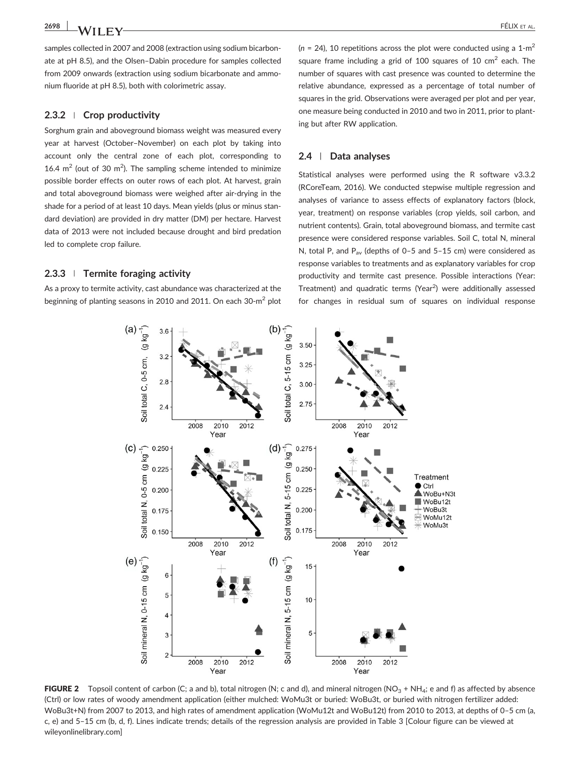2698 | **IA/II EX/** FELIX ET AL.

samples collected in 2007 and 2008 (extraction using sodium bicarbonate at pH 8.5), and the Olsen–Dabin procedure for samples collected from 2009 onwards (extraction using sodium bicarbonate and ammonium fluoride at pH 8.5), both with colorimetric assay.

#### 2.3.2 <sup>|</sup> Crop productivity

Sorghum grain and aboveground biomass weight was measured every year at harvest (October–November) on each plot by taking into account only the central zone of each plot, corresponding to 16.4  $m^2$  (out of 30 m<sup>2</sup>). The sampling scheme intended to minimize possible border effects on outer rows of each plot. At harvest, grain and total aboveground biomass were weighed after air‐drying in the shade for a period of at least 10 days. Mean yields (plus or minus standard deviation) are provided in dry matter (DM) per hectare. Harvest data of 2013 were not included because drought and bird predation led to complete crop failure.

### $2.3.3$  | Termite foraging activity

As a proxy to termite activity, cast abundance was characterized at the beginning of planting seasons in 2010 and 2011. On each 30-m<sup>2</sup> plot (n = 24), 10 repetitions across the plot were conducted using a 1-m<sup>2</sup> square frame including a grid of 100 squares of 10  $\text{cm}^2$  each. The number of squares with cast presence was counted to determine the relative abundance, expressed as a percentage of total number of squares in the grid. Observations were averaged per plot and per year, one measure being conducted in 2010 and two in 2011, prior to planting but after RW application.

#### 2.4 | Data analyses

Statistical analyses were performed using the R software v3.3.2 (RCoreTeam, 2016). We conducted stepwise multiple regression and analyses of variance to assess effects of explanatory factors (block, year, treatment) on response variables (crop yields, soil carbon, and nutrient contents). Grain, total aboveground biomass, and termite cast presence were considered response variables. Soil C, total N, mineral N, total P, and  $P_{av}$  (depths of 0-5 and 5-15 cm) were considered as response variables to treatments and as explanatory variables for crop productivity and termite cast presence. Possible interactions (Year: Treatment) and quadratic terms (Year<sup>2</sup>) were additionally assessed for changes in residual sum of squares on individual response



FIGURE 2 Topsoil content of carbon (C; a and b), total nitrogen (N; c and d), and mineral nitrogen (NO<sub>3</sub> + NH<sub>4</sub>; e and f) as affected by absence (Ctrl) or low rates of woody amendment application (either mulched: WoMu3t or buried: WoBu3t, or buried with nitrogen fertilizer added: WoBu3t+N) from 2007 to 2013, and high rates of amendment application (WoMu12t and WoBu12t) from 2010 to 2013, at depths of 0–5 cm (a, c, e) and 5–15 cm (b, d, f). Lines indicate trends; details of the regression analysis are provided in Table 3 [Colour figure can be viewed at [wileyonlinelibrary.com](http://wileyonlinelibrary.com)]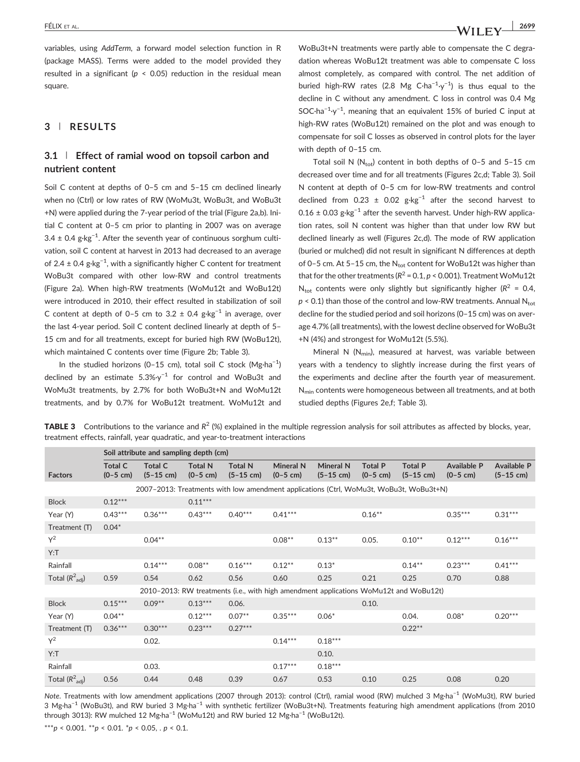variables, using AddTerm, a forward model selection function in R (package MASS). Terms were added to the model provided they resulted in a significant ( $p < 0.05$ ) reduction in the residual mean square.

## 3 | RESULTS

# 3.1 | Effect of ramial wood on topsoil carbon and nutrient content

Soil C content at depths of 0–5 cm and 5–15 cm declined linearly when no (Ctrl) or low rates of RW (WoMu3t, WoBu3t, and WoBu3t +N) were applied during the 7‐year period of the trial (Figure 2a,b). Initial C content at 0–5 cm prior to planting in 2007 was on average  $3.4 \pm 0.4$  g⋅kg<sup>-1</sup>. After the seventh year of continuous sorghum cultivation, soil C content at harvest in 2013 had decreased to an average of 2.4  $\pm$  0.4 g·kg<sup>-1</sup>, with a significantly higher C content for treatment WoBu3t compared with other low‐RW and control treatments (Figure 2a). When high‐RW treatments (WoMu12t and WoBu12t) were introduced in 2010, their effect resulted in stabilization of soil C content at depth of 0–5 cm to 3.2 ± 0.4 g·kg<sup>-1</sup> in average, over the last 4‐year period. Soil C content declined linearly at depth of 5– 15 cm and for all treatments, except for buried high RW (WoBu12t), which maintained C contents over time (Figure 2b; Table 3).

In the studied horizons (0–15 cm), total soil C stock (Mg·ha−<sup>1</sup> ) declined by an estimate 5.3%·y−<sup>1</sup> for control and WoBu3t and WoMu3t treatments, by 2.7% for both WoBu3t+N and WoMu12t treatments, and by 0.7% for WoBu12t treatment. WoMu12t and WoBu3t+N treatments were partly able to compensate the C degradation whereas WoBu12t treatment was able to compensate C loss almost completely, as compared with control. The net addition of buried high-RW rates (2.8 Mg C·ha<sup>-1</sup>·y<sup>-1</sup>) is thus equal to the decline in C without any amendment. C loss in control was 0.4 Mg SOC·ha<sup>-1</sup>·y<sup>-1</sup>, meaning that an equivalent 15% of buried C input at high-RW rates (WoBu12t) remained on the plot and was enough to compensate for soil C losses as observed in control plots for the layer with depth of 0–15 cm.

Total soil N ( $N_{tot}$ ) content in both depths of 0-5 and 5-15 cm decreased over time and for all treatments (Figures 2c,d; Table 3). Soil N content at depth of 0–5 cm for low‐RW treatments and control declined from 0.23 ± 0.02  $g \cdot kg^{-1}$  after the second harvest to 0.16 ± 0.03 g·kg−<sup>1</sup> after the seventh harvest. Under high‐RW application rates, soil N content was higher than that under low RW but declined linearly as well (Figures 2c,d). The mode of RW application (buried or mulched) did not result in significant N differences at depth of 0–5 cm. At 5–15 cm, the  $N_{\text{tot}}$  content for WoBu12t was higher than that for the other treatments ( $R^2$  = 0.1,  $p$  < 0.001). Treatment WoMu12t N<sub>tot</sub> contents were only slightly but significantly higher ( $R^2$  = 0.4,  $p$  < 0.1) than those of the control and low-RW treatments. Annual N<sub>tot</sub> decline for the studied period and soil horizons (0–15 cm) was on average 4.7% (all treatments), with the lowest decline observed for WoBu3t +N (4%) and strongest for WoMu12t (5.5%).

Mineral N ( $N_{min}$ ), measured at harvest, was variable between years with a tendency to slightly increase during the first years of the experiments and decline after the fourth year of measurement. N<sub>min</sub> contents were homogeneous between all treatments, and at both studied depths (Figures 2e,f; Table 3).

|                            | Soil attribute and sampling depth (cm) |                                                                                        |                                      |                               |                                                                                       |                                 |                              |                               |                                  |                            |
|----------------------------|----------------------------------------|----------------------------------------------------------------------------------------|--------------------------------------|-------------------------------|---------------------------------------------------------------------------------------|---------------------------------|------------------------------|-------------------------------|----------------------------------|----------------------------|
| <b>Factors</b>             | <b>Total C</b><br>$(0-5$ cm)           | <b>Total C</b><br>$(5-15$ cm)                                                          | <b>Total N</b><br>$(0-5 \text{ cm})$ | <b>Total N</b><br>$(5-15$ cm) | <b>Mineral N</b><br>$(0-5$ cm)                                                        | <b>Mineral N</b><br>$(5-15$ cm) | <b>Total P</b><br>$(0-5$ cm) | <b>Total P</b><br>$(5-15$ cm) | <b>Available P</b><br>$(0-5$ cm) | Available P<br>$(5-15$ cm) |
|                            |                                        | 2007-2013: Treatments with low amendment applications (Ctrl, WoMu3t, WoBu3t, WoBu3t+N) |                                      |                               |                                                                                       |                                 |                              |                               |                                  |                            |
| <b>Block</b>               | $0.12***$                              |                                                                                        | $0.11***$                            |                               |                                                                                       |                                 |                              |                               |                                  |                            |
| Year (Y)                   | $0.43***$                              | $0.36***$                                                                              | $0.43***$                            | $0.40***$                     | $0.41***$                                                                             |                                 | $0.16***$                    |                               | $0.35***$                        | $0.31***$                  |
| Treatment (T)              | $0.04*$                                |                                                                                        |                                      |                               |                                                                                       |                                 |                              |                               |                                  |                            |
| $Y^2$                      |                                        | $0.04***$                                                                              |                                      |                               | $0.08***$                                                                             | $0.13***$                       | 0.05.                        | $0.10**$                      | $0.12***$                        | $0.16***$                  |
| Y: T                       |                                        |                                                                                        |                                      |                               |                                                                                       |                                 |                              |                               |                                  |                            |
| Rainfall                   |                                        | $0.14***$                                                                              | $0.08***$                            | $0.16***$                     | $0.12***$                                                                             | $0.13*$                         |                              | $0.14***$                     | $0.23***$                        | $0.41***$                  |
| Total $(R^2_{\text{adi}})$ | 0.59                                   | 0.54                                                                                   | 0.62                                 | 0.56                          | 0.60                                                                                  | 0.25                            | 0.21                         | 0.25                          | 0.70                             | 0.88                       |
|                            |                                        |                                                                                        |                                      |                               | 2010-2013: RW treatments (i.e., with high amendment applications WoMu12t and WoBu12t) |                                 |                              |                               |                                  |                            |
| <b>Block</b>               | $0.15***$                              | $0.09***$                                                                              | $0.13***$                            | 0.06.                         |                                                                                       |                                 | 0.10.                        |                               |                                  |                            |
| Year (Y)                   | $0.04***$                              |                                                                                        | $0.12***$                            | $0.07***$                     | $0.35***$                                                                             | $0.06*$                         |                              | 0.04.                         | $0.08*$                          | $0.20***$                  |
| Treatment (T)              | $0.36***$                              | $0.30***$                                                                              | $0.23***$                            | $0.27***$                     |                                                                                       |                                 |                              | $0.22***$                     |                                  |                            |
| $Y^2$                      |                                        | 0.02.                                                                                  |                                      |                               | $0.14***$                                                                             | $0.18***$                       |                              |                               |                                  |                            |
| Y: T                       |                                        |                                                                                        |                                      |                               |                                                                                       | 0.10.                           |                              |                               |                                  |                            |
| Rainfall                   |                                        | 0.03.                                                                                  |                                      |                               | $0.17***$                                                                             | $0.18***$                       |                              |                               |                                  |                            |
| Total $(R^2_{\text{adi}})$ | 0.56                                   | 0.44                                                                                   | 0.48                                 | 0.39                          | 0.67                                                                                  | 0.53                            | 0.10                         | 0.25                          | 0.08                             | 0.20                       |

**TABLE 3** Contributions to the variance and  $R^2$  (%) explained in the multiple regression analysis for soil attributes as affected by blocks, year, treatment effects, rainfall, year quadratic, and year‐to‐treatment interactions

Note. Treatments with low amendment applications (2007 through 2013): control (Ctrl), ramial wood (RW) mulched 3 Mg·ha<sup>-1</sup> (WoMu3t), RW buried 3 Mg·ha−<sup>1</sup> (WoBu3t), and RW buried 3 Mg·ha−<sup>1</sup> with synthetic fertilizer (WoBu3t+N). Treatments featuring high amendment applications (from 2010 through 3013): RW mulched 12 Mg·ha−<sup>1</sup> (WoMu12t) and RW buried 12 Mg·ha−<sup>1</sup> (WoBu12t).

\*\*\*p < 0.001. \*\*p < 0.01. \*p < 0.05, . p < 0.1.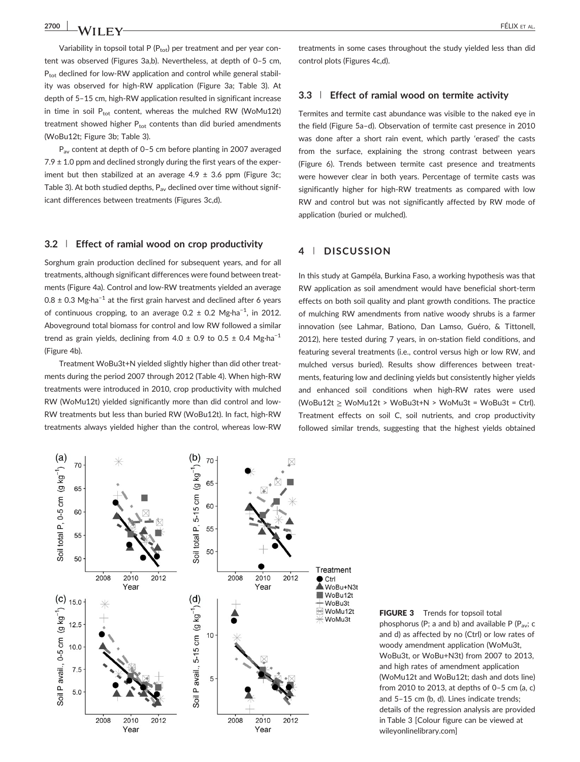Variability in topsoil total P ( $P_{\text{tot}}$ ) per treatment and per year content was observed (Figures 3a,b). Nevertheless, at depth of 0–5 cm, P<sub>tot</sub> declined for low-RW application and control while general stability was observed for high‐RW application (Figure 3a; Table 3). At depth of 5–15 cm, high‐RW application resulted in significant increase in time in soil  $P_{tot}$  content, whereas the mulched RW (WoMu12t) treatment showed higher  $P_{\text{tot}}$  contents than did buried amendments (WoBu12t; Figure 3b; Table 3).

Pav content at depth of 0–5 cm before planting in 2007 averaged  $7.9 \pm 1.0$  ppm and declined strongly during the first years of the experiment but then stabilized at an average  $4.9 \pm 3.6$  ppm (Figure 3c; Table 3). At both studied depths,  $P_{av}$  declined over time without significant differences between treatments (Figures 3c,d).

#### 3.2 | Effect of ramial wood on crop productivity

Sorghum grain production declined for subsequent years, and for all treatments, although significant differences were found between treatments (Figure 4a). Control and low‐RW treatments yielded an average  $0.8 \pm 0.3$  Mg⋅ha<sup>-1</sup> at the first grain harvest and declined after 6 years of continuous cropping, to an average  $0.2 \pm 0.2$  Mg·ha<sup>-1</sup>, in 2012. Aboveground total biomass for control and low RW followed a similar trend as grain yields, declining from 4.0  $\pm$  0.9 to 0.5  $\pm$  0.4 Mg·ha<sup>-1</sup> (Figure 4b).

Treatment WoBu3t+N yielded slightly higher than did other treatments during the period 2007 through 2012 (Table 4). When high‐RW treatments were introduced in 2010, crop productivity with mulched RW (WoMu12t) yielded significantly more than did control and low‐ RW treatments but less than buried RW (WoBu12t). In fact, high‐RW treatments always yielded higher than the control, whereas low‐RW treatments in some cases throughout the study yielded less than did control plots (Figures 4c,d).

#### 3.3 | Effect of ramial wood on termite activity

Termites and termite cast abundance was visible to the naked eye in the field (Figure 5a–d). Observation of termite cast presence in 2010 was done after a short rain event, which partly 'erased' the casts from the surface, explaining the strong contrast between years (Figure 6). Trends between termite cast presence and treatments were however clear in both years. Percentage of termite casts was significantly higher for high-RW treatments as compared with low RW and control but was not significantly affected by RW mode of application (buried or mulched).

#### 4 | DISCUSSION

In this study at Gampéla, Burkina Faso, a working hypothesis was that RW application as soil amendment would have beneficial short‐term effects on both soil quality and plant growth conditions. The practice of mulching RW amendments from native woody shrubs is a farmer innovation (see Lahmar, Bationo, Dan Lamso, Guéro, & Tittonell, 2012), here tested during 7 years, in on‐station field conditions, and featuring several treatments (i.e., control versus high or low RW, and mulched versus buried). Results show differences between treatments, featuring low and declining yields but consistently higher yields and enhanced soil conditions when high‐RW rates were used (WoBu12t  $\geq$  WoMu12t > WoBu3t+N > WoMu3t = WoBu3t = Ctrl). Treatment effects on soil C, soil nutrients, and crop productivity followed similar trends, suggesting that the highest yields obtained



FIGURE 3 Trends for topsoil total phosphorus (P; a and b) and available P ( $P_{av}$ ; c and d) as affected by no (Ctrl) or low rates of woody amendment application (WoMu3t, WoBu3t, or WoBu+N3t) from 2007 to 2013, and high rates of amendment application (WoMu12t and WoBu12t; dash and dots line) from 2010 to 2013, at depths of 0–5 cm (a, c) and 5–15 cm (b, d). Lines indicate trends; details of the regression analysis are provided in Table 3 [Colour figure can be viewed at [wileyonlinelibrary.com](http://wileyonlinelibrary.com)]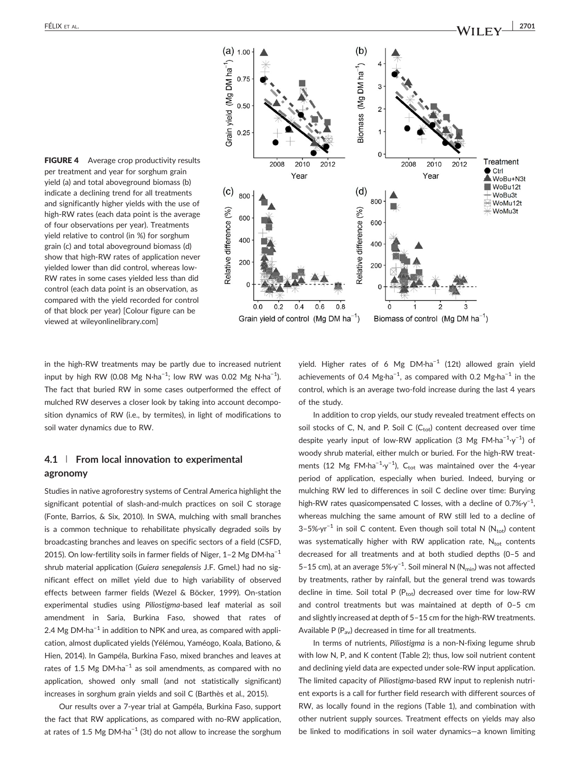

FIGURE 4 Average crop productivity results per treatment and year for sorghum grain yield (a) and total aboveground biomass (b) indicate a declining trend for all treatments and significantly higher yields with the use of high‐RW rates (each data point is the average of four observations per year). Treatments yield relative to control (in %) for sorghum grain (c) and total aboveground biomass (d) show that high‐RW rates of application never yielded lower than did control, whereas low‐ RW rates in some cases yielded less than did control (each data point is an observation, as compared with the yield recorded for control of that block per year) [Colour figure can be viewed at [wileyonlinelibrary.com](http://wileyonlinelibrary.com)]

in the high‐RW treatments may be partly due to increased nutrient input by high RW (0.08 Mg N·ha<sup>-1</sup>; low RW was 0.02 Mg N·ha<sup>-1</sup>). The fact that buried RW in some cases outperformed the effect of mulched RW deserves a closer look by taking into account decomposition dynamics of RW (i.e., by termites), in light of modifications to soil water dynamics due to RW.

## 4.1 | From local innovation to experimental agronomy

Studies in native agroforestry systems of Central America highlight the significant potential of slash‐and‐mulch practices on soil C storage (Fonte, Barrios, & Six, 2010). In SWA, mulching with small branches is a common technique to rehabilitate physically degraded soils by broadcasting branches and leaves on specific sectors of a field (CSFD, 2015). On low-fertility soils in farmer fields of Niger,  $1-2$  Mg DM·ha<sup>-1</sup> shrub material application (Guiera senegalensis J.F. Gmel.) had no significant effect on millet yield due to high variability of observed effects between farmer fields (Wezel & Böcker, 1999). On‐station experimental studies using Piliostigma‐based leaf material as soil amendment in Saria, Burkina Faso, showed that rates of 2.4 Mg DM·ha<sup>-1</sup> in addition to NPK and urea, as compared with application, almost duplicated yields (Yélémou, Yaméogo, Koala, Bationo, & Hien, 2014). In Gampéla, Burkina Faso, mixed branches and leaves at rates of 1.5 Mg DM·ha<sup>-1</sup> as soil amendments, as compared with no application, showed only small (and not statistically significant) increases in sorghum grain yields and soil C (Barthès et al., 2015).

Our results over a 7‐year trial at Gampéla, Burkina Faso, support the fact that RW applications, as compared with no‐RW application, at rates of 1.5 Mg DM·ha<sup>-1</sup> (3t) do not allow to increase the sorghum

yield. Higher rates of 6 Mg DM·ha<sup>-1</sup> (12t) allowed grain yield achievements of 0.4 Mg·ha<sup>-1</sup>, as compared with 0.2 Mg·ha<sup>-1</sup> in the control, which is an average two-fold increase during the last 4 years of the study.

In addition to crop yields, our study revealed treatment effects on soil stocks of C, N, and P. Soil C ( $C_{\text{tot}}$ ) content decreased over time despite yearly input of low-RW application (3 Mg FM·ha<sup>-1</sup>·y<sup>-1</sup>) of woody shrub material, either mulch or buried. For the high‐RW treatments (12 Mg FM·ha<sup>-1</sup>·y<sup>-1</sup>), C<sub>tot</sub> was maintained over the 4-year period of application, especially when buried. Indeed, burying or mulching RW led to differences in soil C decline over time: Burying high-RW rates quasicompensated C losses, with a decline of 0.7%·y<sup>-1</sup>, whereas mulching the same amount of RW still led to a decline of 3–5%·yr<sup>-1</sup> in soil C content. Even though soil total N (N<sub>tot</sub>) content was systematically higher with RW application rate,  $N_{\text{tot}}$  contents decreased for all treatments and at both studied depths (0–5 and 5–15 cm), at an average 5%∙y<sup>−1</sup>. Soil mineral N (N<sub>min</sub>) was not affected by treatments, rather by rainfall, but the general trend was towards decline in time. Soil total P ( $P_{tot}$ ) decreased over time for low-RW and control treatments but was maintained at depth of 0–5 cm and slightly increased at depth of 5–15 cm for the high‐RW treatments. Available P  $(P_{av})$  decreased in time for all treatments.

In terms of nutrients, Piliostigma is a non‐N‐fixing legume shrub with low N, P, and K content (Table 2); thus, low soil nutrient content and declining yield data are expected under sole‐RW input application. The limited capacity of Piliostigma-based RW input to replenish nutrient exports is a call for further field research with different sources of RW, as locally found in the regions (Table 1), and combination with other nutrient supply sources. Treatment effects on yields may also be linked to modifications in soil water dynamics—a known limiting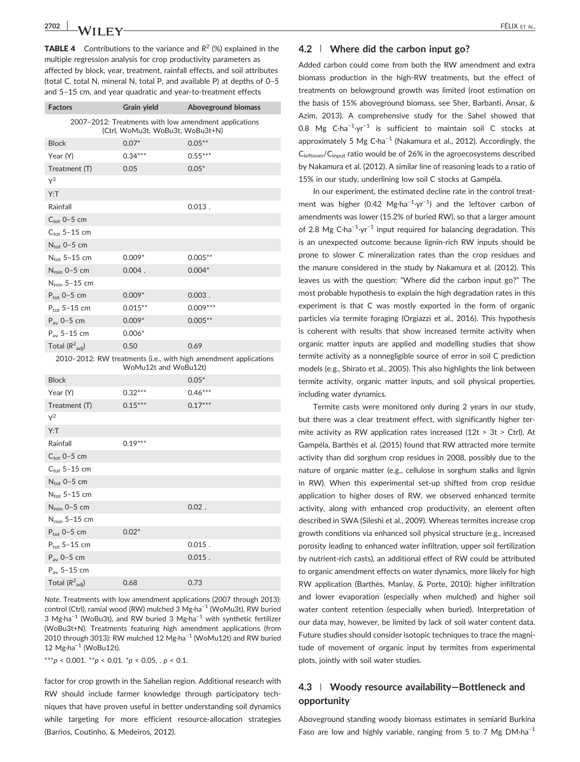2702 | **A***l***ii Felix** et al. **Elix et al. FELIX** et al. **FELIX** et al. **FELIX** et al.

**TABLE 4** Contributions to the variance and  $R^2$  (%) explained in the multiple regression analysis for crop productivity parameters as affected by block, year, treatment, rainfall effects, and soil attributes (total C, total N, mineral N, total P, and available P) at depths of 0–5 and 5-15 cm, and year quadratic and year-to-treatment effects

| <b>Factors</b>                                                                            | Grain yield | Aboveground biomass |  |  |  |  |
|-------------------------------------------------------------------------------------------|-------------|---------------------|--|--|--|--|
| 2007-2012: Treatments with low amendment applications<br>(Ctrl, WoMu3t, WoBu3t, WoBu3t+N) |             |                     |  |  |  |  |
| <b>Block</b>                                                                              | $0.07*$     | $0.05***$           |  |  |  |  |
| Year (Y)                                                                                  | $0.34***$   | $0.55***$           |  |  |  |  |
| Treatment (T)                                                                             | 0.05        | $0.05*$             |  |  |  |  |
| $\sqrt{2}$                                                                                |             |                     |  |  |  |  |
| Y: T                                                                                      |             |                     |  |  |  |  |
| Rainfall                                                                                  |             | $0.013$ .           |  |  |  |  |
| $C_{\text{tot}}$ 0-5 cm                                                                   |             |                     |  |  |  |  |
| $C_{\text{tot}}$ 5-15 cm                                                                  |             |                     |  |  |  |  |
| $N_{\text{tot}}$ 0-5 cm                                                                   |             |                     |  |  |  |  |
| $N_{\text{tot}}$ 5-15 cm                                                                  | $0.009*$    | $0.005***$          |  |  |  |  |
| $N_{\text{min}}$ 0-5 cm                                                                   | $0.004$ .   | $0.004*$            |  |  |  |  |
| $N_{\text{min}}$ 5-15 cm                                                                  |             |                     |  |  |  |  |
| $P_{\text{tot}}$ 0-5 cm                                                                   | $0.009*$    | $0.003$ .           |  |  |  |  |
| $P_{\text{tot}}$ 5-15 cm                                                                  | $0.015***$  | $0.009***$          |  |  |  |  |
| $P_{av}$ 0-5 cm                                                                           | $0.009*$    | $0.005***$          |  |  |  |  |
| $P_{av}$ 5-15 cm                                                                          | $0.006*$    |                     |  |  |  |  |
| Total $(R^2_{\text{adi}})$                                                                | 0.50        | 0.69                |  |  |  |  |
| 2010-2012: RW treatments (i.e., with high amendment applications<br>WoMu12t and WoBu12t)  |             |                     |  |  |  |  |
| <b>Block</b>                                                                              |             | $0.05*$             |  |  |  |  |
| Year (Y)                                                                                  | $0.32***$   | $0.46***$           |  |  |  |  |

| Year (Y)                   | $0.32***$ | $0.46***$ |
|----------------------------|-----------|-----------|
| Treatment (T)              | $0.15***$ | $0.17***$ |
| $Y^2$                      |           |           |
| Y: T                       |           |           |
| Rainfall                   | $0.19***$ |           |
| $C_{\text{tot}}$ 0-5 cm    |           |           |
| $C_{\text{tot}}$ 5-15 cm   |           |           |
| $N_{\text{tot}}$ 0-5 cm    |           |           |
| $N_{\text{tot}}$ 5-15 cm   |           |           |
| $N_{\text{min}}$ 0-5 cm    |           | $0.02$ .  |
| $N_{\text{min}}$ 5-15 cm   |           |           |
| $P_{\text{tot}}$ 0-5 cm    | $0.02*$   |           |
| $P_{\text{tot}}$ 5-15 cm   |           | $0.015$ . |
| $P_{av}$ 0-5 cm            |           | $0.015$ . |
| $P_{av}$ 5-15 cm           |           |           |
| Total $(R^2_{\text{adi}})$ | 0.68      | 0.73      |
|                            |           |           |

Note. Treatments with low amendment applications (2007 through 2013): control (Ctrl), ramial wood (RW) mulched 3 Mg·ha−<sup>1</sup> (WoMu3t), RW buried 3 Mg·ha−<sup>1</sup> (WoBu3t), and RW buried 3 Mg·ha−<sup>1</sup> with synthetic fertilizer (WoBu3t+N). Treatments featuring high amendment applications (from 2010 through 3013): RW mulched 12 Mg·ha<sup>-1</sup> (WoMu12t) and RW buried 12 Mg·ha−<sup>1</sup> (WoBu12t).

\*\*\*p < 0.001. \*\*p < 0.01. \*p < 0.05, . p < 0.1.

factor for crop growth in the Sahelian region. Additional research with RW should include farmer knowledge through participatory techniques that have proven useful in better understanding soil dynamics while targeting for more efficient resource-allocation strategies (Barrios, Coutinho, & Medeiros, 2012).

## 4.2 | Where did the carbon input go?

Added carbon could come from both the RW amendment and extra biomass production in the high‐RW treatments, but the effect of treatments on belowground growth was limited (root estimation on the basis of 15% aboveground biomass, see Sher, Barbanti, Ansar, & Azim, 2013). A comprehensive study for the Sahel showed that 0.8 Mg C·ha−<sup>1</sup> ·yr−<sup>1</sup> is sufficient to maintain soil C stocks at approximately 5 Mg C·ha<sup>-1</sup> (Nakamura et al., 2012). Accordingly, the C<sub>leftover</sub>/C<sub>input</sub> ratio would be of 26% in the agroecosystems described by Nakamura et al. (2012). A similar line of reasoning leads to a ratio of 15% in our study, underlining low soil C stocks at Gampéla.

In our experiment, the estimated decline rate in the control treatment was higher (0.42 Mg·ha<sup>-1</sup>·yr<sup>-1</sup>) and the leftover carbon of amendments was lower (15.2% of buried RW), so that a larger amount of 2.8 Mg C·ha<sup>-1</sup>·yr<sup>-1</sup> input required for balancing degradation. This is an unexpected outcome because lignin‐rich RW inputs should be prone to slower C mineralization rates than the crop residues and the manure considered in the study by Nakamura et al. (2012). This leaves us with the question: "Where did the carbon input go?" The most probable hypothesis to explain the high degradation rates in this experiment is that C was mostly exported in the form of organic particles via termite foraging (Orgiazzi et al., 2016). This hypothesis is coherent with results that show increased termite activity when organic matter inputs are applied and modelling studies that show termite activity as a nonnegligible source of error in soil C prediction models (e.g., Shirato et al., 2005). This also highlights the link between termite activity, organic matter inputs, and soil physical properties, including water dynamics.

Termite casts were monitored only during 2 years in our study, but there was a clear treatment effect, with significantly higher termite activity as RW application rates increased (12t > 3t > Ctrl). At Gampéla, Barthès et al. (2015) found that RW attracted more termite activity than did sorghum crop residues in 2008, possibly due to the nature of organic matter (e.g., cellulose in sorghum stalks and lignin in RW). When this experimental set‐up shifted from crop residue application to higher doses of RW, we observed enhanced termite activity, along with enhanced crop productivity, an element often described in SWA (Sileshi et al., 2009). Whereas termites increase crop growth conditions via enhanced soil physical structure (e.g., increased porosity leading to enhanced water infiltration, upper soil fertilization by nutrient‐rich casts), an additional effect of RW could be attributed to organic amendment effects on water dynamics, more likely for high RW application (Barthès, Manlay, & Porte, 2010): higher infiltration and lower evaporation (especially when mulched) and higher soil water content retention (especially when buried). Interpretation of our data may, however, be limited by lack of soil water content data. Future studies should consider isotopic techniques to trace the magnitude of movement of organic input by termites from experimental plots, jointly with soil water studies.

## 4.3 | Woody resource availability—Bottleneck and opportunity

Aboveground standing woody biomass estimates in semiarid Burkina Faso are low and highly variable, ranging from 5 to 7 Mg DM·ha<sup>-1</sup>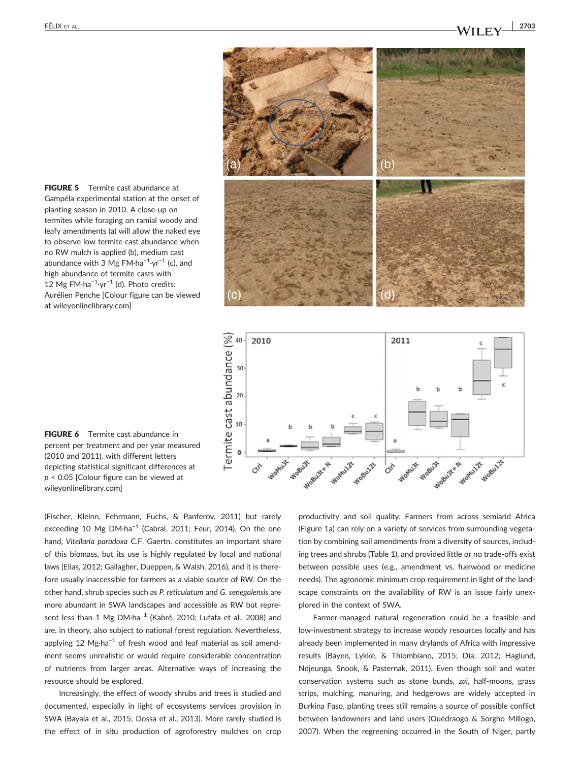24 - BUL24

Womuzz

W3Ł W2Kx N

WORUSK

Wornust

**CCC** 

**FIGURE 5** Termite cast abundance at Gampéla experimental station at the onset of planting season in 2010. A close‐up on termites while foraging on ramial woody and leafy amendments (a) will allow the naked eye to observe low termite cast abundance when no RW mulch is applied (b), medium cast abundance with 3 Mg FM·ha<sup>-1</sup>·yr<sup>-1</sup> (c), and high abundance of termite casts with 12 Mg FM·ha−<sup>1</sup> ·yr−<sup>1</sup> (d). Photo credits: Aurélien Penche [Colour figure can be viewed at [wileyonlinelibrary.com\]](http://wileyonlinelibrary.com)

![](_page_10_Picture_3.jpeg)

FIGURE 6 Termite cast abundance in percent per treatment and per year measured (2010 and 2011), with different letters depicting statistical significant differences at p < 0.05 [Colour figure can be viewed at [wileyonlinelibrary.com](http://wileyonlinelibrary.com)]

(Fischer, Kleinn, Fehrmann, Fuchs, & Panferov, 2011) but rarely exceeding 10 Mg DM·ha<sup>-1</sup> (Cabral, 2011; Feur, 2014). On the one hand, Vitellaria paradoxa C.F. Gaertn. constitutes an important share of this biomass, but its use is highly regulated by local and national laws (Elias, 2012; Gallagher, Dueppen, & Walsh, 2016), and it is therefore usually inaccessible for farmers as a viable source of RW. On the other hand, shrub species such as P. reticulatum and G. senegalensis are more abundant in SWA landscapes and accessible as RW but represent less than 1 Mg DM·ha<sup>-1</sup> (Kabré, 2010; Lufafa et al., 2008) and are, in theory, also subject to national forest regulation. Nevertheless, applying 12 Mg⋅ha<sup>-1</sup> of fresh wood and leaf material as soil amendment seems unrealistic or would require considerable concentration of nutrients from larger areas. Alternative ways of increasing the resource should be explored.

Wornst

CLE

**4408U3LX AV** 

WORLDE

Womuzz

Wooutz

Increasingly, the effect of woody shrubs and trees is studied and documented, especially in light of ecosystems services provision in SWA (Bayala et al., 2015; Dossa et al., 2013). More rarely studied is the effect of in situ production of agroforestry mulches on crop productivity and soil quality. Farmers from across semiarid Africa (Figure 1a) can rely on a variety of services from surrounding vegetation by combining soil amendments from a diversity of sources, including trees and shrubs (Table 1), and provided little or no trade‐offs exist between possible uses (e.g., amendment vs. fuelwood or medicine needs). The agronomic minimum crop requirement in light of the landscape constraints on the availability of RW is an issue fairly unexplored in the context of SWA.

Farmer‐managed natural regeneration could be a feasible and low‐investment strategy to increase woody resources locally and has already been implemented in many drylands of Africa with impressive results (Bayen, Lykke, & Thiombiano, 2015; Dia, 2012; Haglund, Ndjeunga, Snook, & Pasternak, 2011). Even though soil and water conservation systems such as stone bunds, zaï, half‐moons, grass strips, mulching, manuring, and hedgerows are widely accepted in Burkina Faso, planting trees still remains a source of possible conflict between landowners and land users (Ouédraogo & Sorgho Millogo, 2007). When the regreening occurred in the South of Niger, partly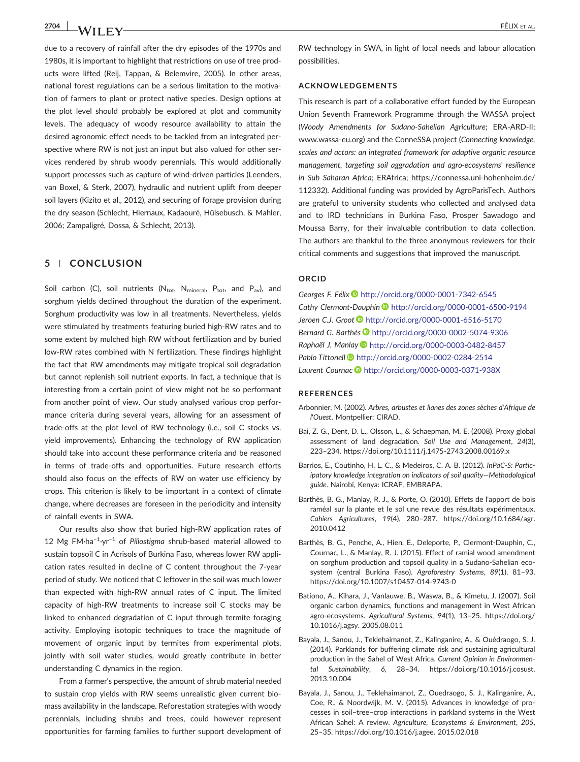due to a recovery of rainfall after the dry episodes of the 1970s and 1980s, it is important to highlight that restrictions on use of tree products were lifted (Reij, Tappan, & Belemvire, 2005). In other areas, national forest regulations can be a serious limitation to the motivation of farmers to plant or protect native species. Design options at the plot level should probably be explored at plot and community levels. The adequacy of woody resource availability to attain the desired agronomic effect needs to be tackled from an integrated perspective where RW is not just an input but also valued for other services rendered by shrub woody perennials. This would additionally support processes such as capture of wind-driven particles (Leenders, van Boxel, & Sterk, 2007), hydraulic and nutrient uplift from deeper soil layers (Kizito et al., 2012), and securing of forage provision during the dry season (Schlecht, Hiernaux, Kadaouré, Hülsebusch, & Mahler, 2006; Zampaligré, Dossa, & Schlecht, 2013).

## 5 | CONCLUSION

Soil carbon (C), soil nutrients ( $N_{\text{tot}}$ ,  $N_{\text{mineral}}$ ,  $P_{\text{tot}}$ , and  $P_{\text{av}}$ ), and sorghum yields declined throughout the duration of the experiment. Sorghum productivity was low in all treatments. Nevertheless, yields were stimulated by treatments featuring buried high‐RW rates and to some extent by mulched high RW without fertilization and by buried low‐RW rates combined with N fertilization. These findings highlight the fact that RW amendments may mitigate tropical soil degradation but cannot replenish soil nutrient exports. In fact, a technique that is interesting from a certain point of view might not be so performant from another point of view. Our study analysed various crop performance criteria during several years, allowing for an assessment of trade‐offs at the plot level of RW technology (i.e., soil C stocks vs. yield improvements). Enhancing the technology of RW application should take into account these performance criteria and be reasoned in terms of trade‐offs and opportunities. Future research efforts should also focus on the effects of RW on water use efficiency by crops. This criterion is likely to be important in a context of climate change, where decreases are foreseen in the periodicity and intensity of rainfall events in SWA.

Our results also show that buried high‐RW application rates of 12 Mg FM·ha<sup>-1</sup>·yr<sup>-1</sup> of Piliostigma shrub-based material allowed to sustain topsoil C in Acrisols of Burkina Faso, whereas lower RW application rates resulted in decline of C content throughout the 7‐year period of study. We noticed that C leftover in the soil was much lower than expected with high‐RW annual rates of C input. The limited capacity of high‐RW treatments to increase soil C stocks may be linked to enhanced degradation of C input through termite foraging activity. Employing isotopic techniques to trace the magnitude of movement of organic input by termites from experimental plots, jointly with soil water studies, would greatly contribute in better understanding C dynamics in the region.

From a farmer's perspective, the amount of shrub material needed to sustain crop yields with RW seems unrealistic given current biomass availability in the landscape. Reforestation strategies with woody perennials, including shrubs and trees, could however represent opportunities for farming families to further support development of

RW technology in SWA, in light of local needs and labour allocation possibilities.

#### ACKNOWLEDGEMENTS

This research is part of a collaborative effort funded by the European Union Seventh Framework Programme through the WASSA project (Woody Amendments for Sudano‐Sahelian Agriculture; ERA‐ARD‐II; [www.wassa](http://www.wassa-eu.org)‐eu.org) and the ConneSSA project (Connecting knowledge, scales and actors: an integrated framework for adaptive organic resource management, targeting soil aggradation and agro‐ecosystems' resilience in Sub Saharan Africa; ERAfrica; [https://connessa.uni](https://connessa.uni-hohenheim.de/112332)-hohenheim.de/ [112332](https://connessa.uni-hohenheim.de/112332)). Additional funding was provided by AgroParisTech. Authors are grateful to university students who collected and analysed data and to IRD technicians in Burkina Faso, Prosper Sawadogo and Moussa Barry, for their invaluable contribution to data collection. The authors are thankful to the three anonymous reviewers for their critical comments and suggestions that improved the manuscript.

#### ORCID

Georges F. Félix D <http://orcid.org/0000-0001-7342-6545> Cathy Clermont-Dauphin D <http://orcid.org/0000-0001-6500-9194> Jeroen C.J. Groot **<http://orcid.org/0000-0001-6516-5170>** Bernard G. Barthès <http://orcid.org/0000-0002-5074-9306> Raphaël J. Manlay <http://orcid.org/0000-0003-0482-8457> Pablo Tittonell **b** <http://orcid.org/0000-0002-0284-2514> Laurent Cournac D <http://orcid.org/0000-0003-0371-938X>

#### REFERENCES

- Arbonnier, M. (2002). Arbres, arbustes et lianes des zones sèches d'Afrique de l'Ouest. Montpellier: CIRAD.
- Bai, Z. G., Dent, D. L., Olsson, L., & Schaepman, M. E. (2008). Proxy global assessment of land degradation. Soil Use and Management, 24(3), 223–234. [https://doi.org/10.1111/j.1475](https://doi.org/10.1111/j.1475-2743.2008.00169.x)‐2743.2008.00169.x
- Barrios, E., Coutinho, H. L. C., & Medeiros, C. A. B. (2012). InPaC‐S: Participatory knowledge integration on indicators of soil quality—Methodological guide. Nairobi, Kenya: ICRAF, EMBRAPA.
- Barthès, B. G., Manlay, R. J., & Porte, O. (2010). Effets de l'apport de bois raméal sur la plante et le sol une revue des résultats expérimentaux. Cahiers Agricultures, 19(4), 280–287. [https://doi.org/10.1684/agr.](https://doi.org/10.1684/agr.%202010.0412) [2010.0412](https://doi.org/10.1684/agr.%202010.0412)
- Barthès, B. G., Penche, A., Hien, E., Deleporte, P., Clermont‐Dauphin, C., Cournac, L., & Manlay, R. J. (2015). Effect of ramial wood amendment on sorghum production and topsoil quality in a Sudano‐Sahelian ecosystem (central Burkina Faso). Agroforestry Systems, 89(1), 81–93. [https://doi.org/10.1007/s10457](https://doi.org/10.1007/s10457-014-9743-0)‐014‐9743‐0
- Bationo, A., Kihara, J., Vanlauwe, B., Waswa, B., & Kimetu, J. (2007). Soil organic carbon dynamics, functions and management in West African agro‐ecosystems. Agricultural Systems, 94(1), 13–25. [https://doi.org/](https://doi.org/10.1016/j.agsy.%202005.08.011) [10.1016/j.agsy. 2005.08.011](https://doi.org/10.1016/j.agsy.%202005.08.011)
- Bayala, J., Sanou, J., Teklehaimanot, Z., Kalinganire, A., & Ouédraogo, S. J. (2014). Parklands for buffering climate risk and sustaining agricultural production in the Sahel of West Africa. Current Opinion in Environmental Sustainability, 6, 28–34. [https://doi.org/10.1016/j.cosust.](https://doi.org/10.1016/j.cosust.%202013.10.004) [2013.10.004](https://doi.org/10.1016/j.cosust.%202013.10.004)
- Bayala, J., Sanou, J., Teklehaimanot, Z., Ouedraogo, S. J., Kalinganire, A., Coe, R., & Noordwijk, M. V. (2015). Advances in knowledge of processes in soil–tree–crop interactions in parkland systems in the West African Sahel: A review. Agriculture, Ecosystems & Environment, 205, 25–35. [https://doi.org/10.1016/j.agee. 2015.02.018](https://doi.org/10.1016/j.agee.%202015.02.018)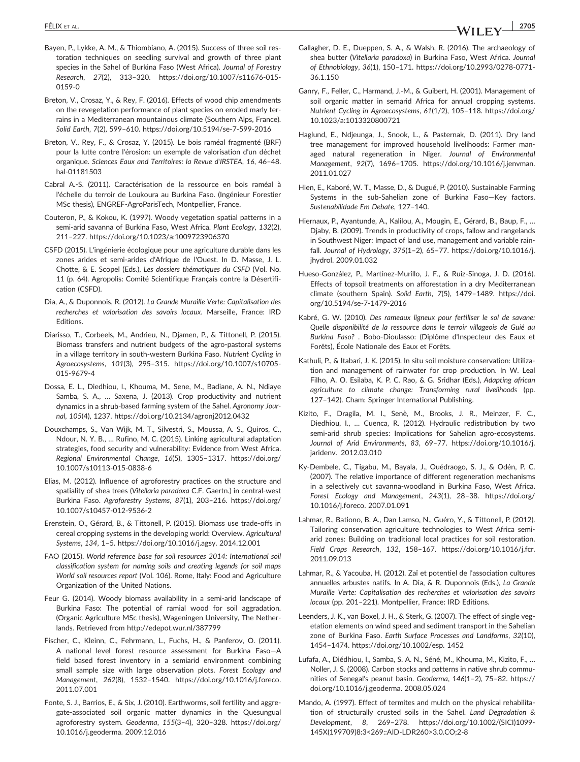- Bayen, P., Lykke, A. M., & Thiombiano, A. (2015). Success of three soil restoration techniques on seedling survival and growth of three plant species in the Sahel of Burkina Faso (West Africa). Journal of Forestry Research, 27(2), 313–320. [https://doi.org/10.1007/s11676](https://doi.org/10.1007/s11676-015-0159-0)‐015‐ [0159](https://doi.org/10.1007/s11676-015-0159-0)‐0
- Breton, V., Crosaz, Y., & Rey, F. (2016). Effects of wood chip amendments on the revegetation performance of plant species on eroded marly terrains in a Mediterranean mountainous climate (Southern Alps, France). Solid Earth, 7(2), 599–610. [https://doi.org/10.5194/se](https://doi.org/10.5194/se-7-599-2016)‐7‐599‐2016
- Breton, V., Rey, F., & Crosaz, Y. (2015). Le bois raméal fragmenté (BRF) pour la lutte contre l'érosion: un exemple de valorisation d'un déchet organique. Sciences Eaux and Territoires: la Revue d'IRSTEA, 16, 46–48. hal‐01181503
- Cabral A.‐S. (2011). Caractérisation de la ressource en bois raméal à l'échelle du terroir de Loukoura au Burkina Faso. (Ingénieur Forestier MSc thesis), ENGREF‐AgroParisTech, Montpellier, France.
- Couteron, P., & Kokou, K. (1997). Woody vegetation spatial patterns in a semi-arid savanna of Burkina Faso, West Africa. Plant Ecology, 132(2), 211–227.<https://doi.org/10.1023/a:1009723906370>
- CSFD (2015). L'ingénierie écologique pour une agriculture durable dans les zones arides et semi‐arides d'Afrique de l'Ouest. In D. Masse, J. L. Chotte, & E. Scopel (Eds.), Les dossiers thématiques du CSFD (Vol. No. 11 (p. 64). Agropolis: Comité Scientifique Français contre la Désertification (CSFD).
- Dia, A., & Duponnois, R. (2012). La Grande Muraille Verte: Capitalisation des recherches et valorisation des savoirs locaux. Marseille, France: IRD Editions.
- Diarisso, T., Corbeels, M., Andrieu, N., Djamen, P., & Tittonell, P. (2015). Biomass transfers and nutrient budgets of the agro‐pastoral systems in a village territory in south‐western Burkina Faso. Nutrient Cycling in Agroecosystems, 101(3), 295–315. [https://doi.org/10.1007/s10705](https://doi.org/10.1007/s10705-015-9679-4)‐ 015‐[9679](https://doi.org/10.1007/s10705-015-9679-4)‐4
- Dossa, E. L., Diedhiou, I., Khouma, M., Sene, M., Badiane, A. N., Ndiaye Samba, S. A., … Saxena, J. (2013). Crop productivity and nutrient dynamics in a shrub‐based farming system of the Sahel. Agronomy Journal, 105(4), 1237.<https://doi.org/10.2134/agronj2012.0432>
- Douxchamps, S., Van Wijk, M. T., Silvestri, S., Moussa, A. S., Quiros, C., Ndour, N. Y. B., … Rufino, M. C. (2015). Linking agricultural adaptation strategies, food security and vulnerability: Evidence from West Africa. Regional Environmental Change, 16(5), 1305–1317. [https://doi.org/](https://doi.org/10.1007/s10113-015-0838-6) [10.1007/s10113](https://doi.org/10.1007/s10113-015-0838-6)‐015‐0838‐6
- Elias, M. (2012). Influence of agroforestry practices on the structure and spatiality of shea trees (Vitellaria paradoxa C.F. Gaertn.) in central-west Burkina Faso. Agroforestry Systems, 87(1), 203–216. [https://doi.org/](https://doi.org/10.1007/s10457-012-9536-2) [10.1007/s10457](https://doi.org/10.1007/s10457-012-9536-2)‐012‐9536‐2
- Erenstein, O., Gérard, B., & Tittonell, P. (2015). Biomass use trade‐offs in cereal cropping systems in the developing world: Overview. Agricultural Systems, 134, 1–5. [https://doi.org/10.1016/j.agsy. 2014.12.001](https://doi.org/10.1016/j.agsy.%202014.12.001)
- FAO (2015). World reference base for soil resources 2014: International soil classification system for naming soils and creating legends for soil maps World soil resources report (Vol. 106). Rome, Italy: Food and Agriculture Organization of the United Nations.
- Feur G. (2014). Woody biomass availability in a semi-arid landscape of Burkina Faso: The potential of ramial wood for soil aggradation. (Organic Agriculture MSc thesis), Wageningen University, The Netherlands. Retrieved from<http://edepot.wur.nl/387799>
- Fischer, C., Kleinn, C., Fehrmann, L., Fuchs, H., & Panferov, O. (2011). A national level forest resource assessment for Burkina Faso—A field based forest inventory in a semiarid environment combining small sample size with large observation plots. Forest Ecology and Management, 262(8), 1532–1540. [https://doi.org/10.1016/j.foreco.](https://doi.org/10.1016/j.foreco.%202011.07.001) [2011.07.001](https://doi.org/10.1016/j.foreco.%202011.07.001)
- Fonte, S. J., Barrios, E., & Six, J. (2010). Earthworms, soil fertility and aggregate‐associated soil organic matter dynamics in the Quesungual agroforestry system. Geoderma, 155(3–4), 320–328. [https://doi.org/](https://doi.org/10.1016/j.geoderma.%202009.12.016) [10.1016/j.geoderma. 2009.12.016](https://doi.org/10.1016/j.geoderma.%202009.12.016)
- Gallagher, D. E., Dueppen, S. A., & Walsh, R. (2016). The archaeology of shea butter (Vitellaria paradoxa) in Burkina Faso, West Africa. Journal of Ethnobiology, 36(1), 150–171. [https://doi.org/10.2993/0278](https://doi.org/10.2993/0278-0771-36.1.150)‐0771‐ [36.1.150](https://doi.org/10.2993/0278-0771-36.1.150)
- Ganry, F., Feller, C., Harmand, J.‐M., & Guibert, H. (2001). Management of soil organic matter in semarid Africa for annual cropping systems. Nutrient Cycling in Agroecosystems, 61(1/2), 105–118. [https://doi.org/](https://doi.org/10.1023/a:1013320800721) [10.1023/a:1013320800721](https://doi.org/10.1023/a:1013320800721)
- Haglund, E., Ndjeunga, J., Snook, L., & Pasternak, D. (2011). Dry land tree management for improved household livelihoods: Farmer managed natural regeneration in Niger. Journal of Environmental Management, 92(7), 1696–1705. [https://doi.org/10.1016/j.jenvman.](https://doi.org/10.1016/j.jenvman.%202011.01.027) [2011.01.027](https://doi.org/10.1016/j.jenvman.%202011.01.027)
- Hien, E., Kaboré, W. T., Masse, D., & Dugué, P. (2010). Sustainable Farming Systems in the sub-Sahelian zone of Burkina Faso-Key factors. Sustenabilidade Em Debate, 127–140.
- Hiernaux, P., Ayantunde, A., Kalilou, A., Mougin, E., Gérard, B., Baup, F., … Djaby, B. (2009). Trends in productivity of crops, fallow and rangelands in Southwest Niger: Impact of land use, management and variable rainfall. Journal of Hydrology, 375(1–2), 65–77. [https://doi.org/10.1016/j.](https://doi.org/10.1016/j.jhydrol.%202009.01.032) [jhydrol. 2009.01.032](https://doi.org/10.1016/j.jhydrol.%202009.01.032)
- Hueso‐González, P., Martínez‐Murillo, J. F., & Ruiz‐Sinoga, J. D. (2016). Effects of topsoil treatments on afforestation in a dry Mediterranean climate (southern Spain). Solid Earth, 7(5), 1479–1489. [https://doi.](https://doi.org/10.5194/se-7-1479-2016) [org/10.5194/se](https://doi.org/10.5194/se-7-1479-2016)‐7‐1479‐2016
- Kabré, G. W. (2010). Des rameaux ligneux pour fertiliser le sol de savane: Quelle disponibilité de la ressource dans le terroir villageois de Guié au Burkina Faso? . Bobo‐Dioulasso: (Diplôme d'Inspecteur des Eaux et Forêts), École Nationale des Eaux et Forêts.
- Kathuli, P., & Itabari, J. K. (2015). In situ soil moisture conservation: Utilization and management of rainwater for crop production. In W. Leal Filho, A. O. Esilaba, K. P. C. Rao, & G. Sridhar (Eds.), Adapting african agriculture to climate change: Transforming rural livelihoods (pp. 127–142). Cham: Springer International Publishing.
- Kizito, F., Dragila, M. I., Senè, M., Brooks, J. R., Meinzer, F. C., Diedhiou, I., … Cuenca, R. (2012). Hydraulic redistribution by two semi-arid shrub species: Implications for Sahelian agro-ecosystems. Journal of Arid Environments, 83, 69–77. [https://doi.org/10.1016/j.](https://doi.org/10.1016/j.jaridenv.%202012.03.010) [jaridenv. 2012.03.010](https://doi.org/10.1016/j.jaridenv.%202012.03.010)
- Ky‐Dembele, C., Tigabu, M., Bayala, J., Ouédraogo, S. J., & Odén, P. C. (2007). The relative importance of different regeneration mechanisms in a selectively cut savanna‐woodland in Burkina Faso, West Africa. Forest Ecology and Management, 243(1), 28–38. [https://doi.org/](https://doi.org/10.1016/j.foreco.%202007.01.091) [10.1016/j.foreco. 2007.01.091](https://doi.org/10.1016/j.foreco.%202007.01.091)
- Lahmar, R., Bationo, B. A., Dan Lamso, N., Guéro, Y., & Tittonell, P. (2012). Tailoring conservation agriculture technologies to West Africa semi‐ arid zones: Building on traditional local practices for soil restoration. Field Crops Research, 132, 158–167. [https://doi.org/10.1016/j.fcr.](https://doi.org/10.1016/j.fcr.%202011.09.013) [2011.09.013](https://doi.org/10.1016/j.fcr.%202011.09.013)
- Lahmar, R., & Yacouba, H. (2012). Zaï et potentiel de l'association cultures annuelles arbustes natifs. In A. Dia, & R. Duponnois (Eds.), La Grande Muraille Verte: Capitalisation des recherches et valorisation des savoirs locaux (pp. 201–221). Montpellier, France: IRD Editions.
- Leenders, J. K., van Boxel, J. H., & Sterk, G. (2007). The effect of single vegetation elements on wind speed and sediment transport in the Sahelian zone of Burkina Faso. Earth Surface Processes and Landforms, 32(10), 1454–1474. [https://doi.org/10.1002/esp. 1452](https://doi.org/10.1002/esp.%201452)
- Lufafa, A., Diédhiou, I., Samba, S. A. N., Séné, M., Khouma, M., Kizito, F., … Noller, J. S. (2008). Carbon stocks and patterns in native shrub communities of Senegal's peanut basin. Geoderma, 146(1–2), 75–82. [https://](https://doi.org/10.1016/j.geoderma.%202008.05.024) [doi.org/10.1016/j.geoderma. 2008.05.024](https://doi.org/10.1016/j.geoderma.%202008.05.024)
- Mando, A. (1997). Effect of termites and mulch on the physical rehabilitation of structurally crusted soils in the Sahel. Land Degradation & Development, 8, 269–278. [https://doi.org/10.1002/\(SICI\)1099-](https://doi.org/10.1002/(SICI)1099-145X(199709)8:3%3c269::AID-LDR260%3e3.0.CO;2-8) [145X\(199709\)8:3<269::AID-LDR260>3.0.CO;2-8](https://doi.org/10.1002/(SICI)1099-145X(199709)8:3%3c269::AID-LDR260%3e3.0.CO;2-8)